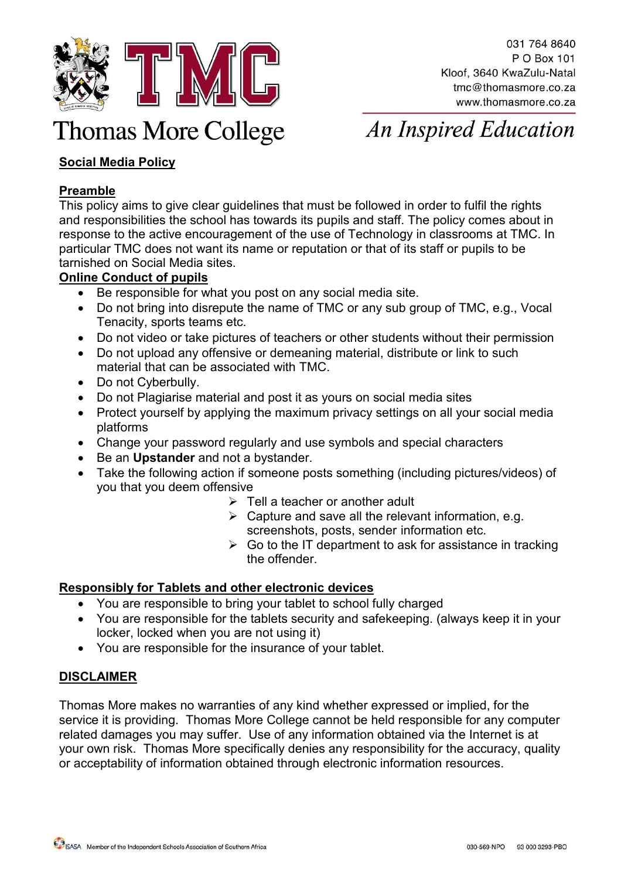

# **Thomas More College**

**An Inspired Education** 

# **Social Media Policy**

## **Preamble**

This policy aims to give clear guidelines that must be followed in order to fulfil the rights and responsibilities the school has towards its pupils and staff. The policy comes about in response to the active encouragement of the use of Technology in classrooms at TMC. In particular TMC does not want its name or reputation or that of its staff or pupils to be tarnished on Social Media sites.

### **Online Conduct of pupils**

- Be responsible for what you post on any social media site.
- Do not bring into disrepute the name of TMC or any sub group of TMC, e.g., Vocal Tenacity, sports teams etc.
- Do not video or take pictures of teachers or other students without their permission
- Do not upload any offensive or demeaning material, distribute or link to such material that can be associated with TMC.
- Do not Cyberbully.
- Do not Plagiarise material and post it as yours on social media sites
- Protect yourself by applying the maximum privacy settings on all your social media platforms
- Change your password regularly and use symbols and special characters
- Be an **Upstander** and not a bystander.
- Take the following action if someone posts something (including pictures/videos) of you that you deem offensive
	- $\triangleright$  Tell a teacher or another adult
	- $\triangleright$  Capture and save all the relevant information, e.g. screenshots, posts, sender information etc.
	- $\triangleright$  Go to the IT department to ask for assistance in tracking the offender.

#### **Responsibly for Tablets and other electronic devices**

- You are responsible to bring your tablet to school fully charged
- You are responsible for the tablets security and safekeeping. (always keep it in your locker, locked when you are not using it)
- You are responsible for the insurance of your tablet.

#### **DISCLAIMER**

Thomas More makes no warranties of any kind whether expressed or implied, for the service it is providing. Thomas More College cannot be held responsible for any computer related damages you may suffer. Use of any information obtained via the Internet is at your own risk. Thomas More specifically denies any responsibility for the accuracy, quality or acceptability of information obtained through electronic information resources.